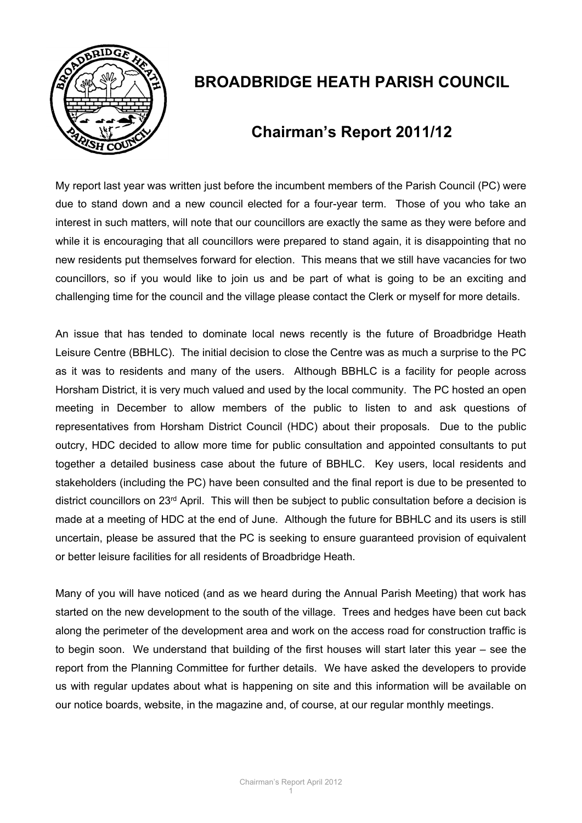

# **BROADBRIDGE HEATH PARISH COUNCIL**

## **Chairman's Report 2011/12**

My report last year was written just before the incumbent members of the Parish Council (PC) were due to stand down and a new council elected for a four-year term. Those of you who take an interest in such matters, will note that our councillors are exactly the same as they were before and while it is encouraging that all councillors were prepared to stand again, it is disappointing that no new residents put themselves forward for election. This means that we still have vacancies for two councillors, so if you would like to join us and be part of what is going to be an exciting and challenging time for the council and the village please contact the Clerk or myself for more details.

An issue that has tended to dominate local news recently is the future of Broadbridge Heath Leisure Centre (BBHLC). The initial decision to close the Centre was as much a surprise to the PC as it was to residents and many of the users. Although BBHLC is a facility for people across Horsham District, it is very much valued and used by the local community. The PC hosted an open meeting in December to allow members of the public to listen to and ask questions of representatives from Horsham District Council (HDC) about their proposals. Due to the public outcry, HDC decided to allow more time for public consultation and appointed consultants to put together a detailed business case about the future of BBHLC. Key users, local residents and stakeholders (including the PC) have been consulted and the final report is due to be presented to district councillors on 23<sup>rd</sup> April. This will then be subject to public consultation before a decision is made at a meeting of HDC at the end of June. Although the future for BBHLC and its users is still uncertain, please be assured that the PC is seeking to ensure guaranteed provision of equivalent or better leisure facilities for all residents of Broadbridge Heath.

Many of you will have noticed (and as we heard during the Annual Parish Meeting) that work has started on the new development to the south of the village. Trees and hedges have been cut back along the perimeter of the development area and work on the access road for construction traffic is to begin soon. We understand that building of the first houses will start later this year – see the report from the Planning Committee for further details. We have asked the developers to provide us with regular updates about what is happening on site and this information will be available on our notice boards, website, in the magazine and, of course, at our regular monthly meetings.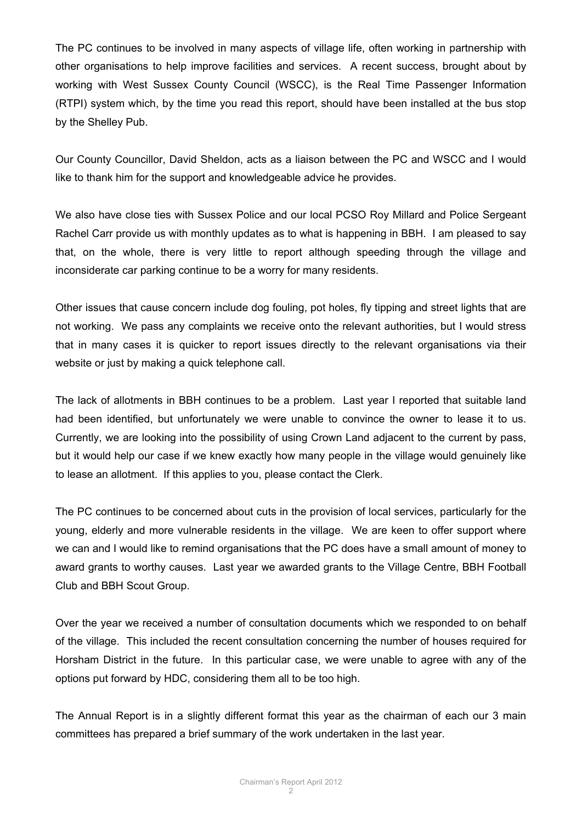The PC continues to be involved in many aspects of village life, often working in partnership with other organisations to help improve facilities and services. A recent success, brought about by working with West Sussex County Council (WSCC), is the Real Time Passenger Information (RTPI) system which, by the time you read this report, should have been installed at the bus stop by the Shelley Pub.

Our County Councillor, David Sheldon, acts as a liaison between the PC and WSCC and I would like to thank him for the support and knowledgeable advice he provides.

We also have close ties with Sussex Police and our local PCSO Roy Millard and Police Sergeant Rachel Carr provide us with monthly updates as to what is happening in BBH. I am pleased to say that, on the whole, there is very little to report although speeding through the village and inconsiderate car parking continue to be a worry for many residents.

Other issues that cause concern include dog fouling, pot holes, fly tipping and street lights that are not working. We pass any complaints we receive onto the relevant authorities, but I would stress that in many cases it is quicker to report issues directly to the relevant organisations via their website or just by making a quick telephone call.

The lack of allotments in BBH continues to be a problem. Last year I reported that suitable land had been identified, but unfortunately we were unable to convince the owner to lease it to us. Currently, we are looking into the possibility of using Crown Land adjacent to the current by pass, but it would help our case if we knew exactly how many people in the village would genuinely like to lease an allotment. If this applies to you, please contact the Clerk.

The PC continues to be concerned about cuts in the provision of local services, particularly for the young, elderly and more vulnerable residents in the village. We are keen to offer support where we can and I would like to remind organisations that the PC does have a small amount of money to award grants to worthy causes. Last year we awarded grants to the Village Centre, BBH Football Club and BBH Scout Group.

Over the year we received a number of consultation documents which we responded to on behalf of the village. This included the recent consultation concerning the number of houses required for Horsham District in the future. In this particular case, we were unable to agree with any of the options put forward by HDC, considering them all to be too high.

The Annual Report is in a slightly different format this year as the chairman of each our 3 main committees has prepared a brief summary of the work undertaken in the last year.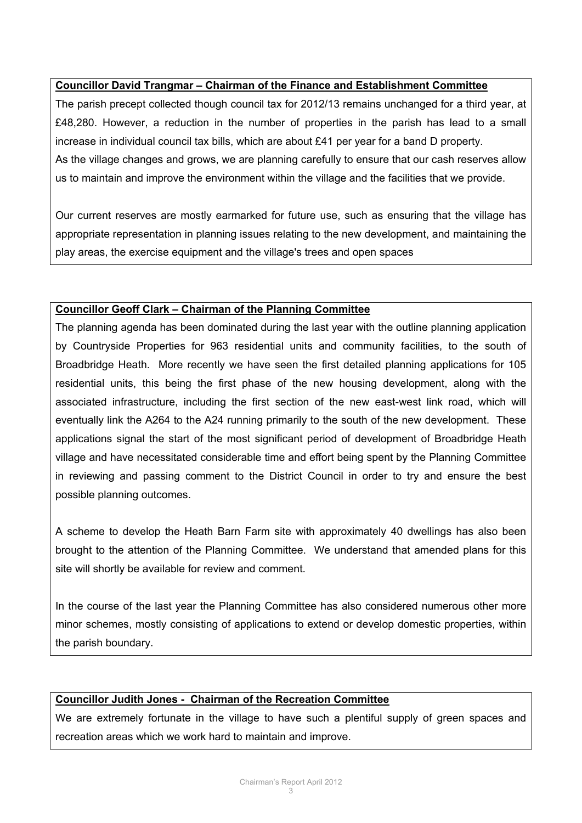#### **Councillor David Trangmar – Chairman of the Finance and Establishment Committee**

The parish precept collected though council tax for 2012/13 remains unchanged for a third year, at £48,280. However, a reduction in the number of properties in the parish has lead to a small increase in individual council tax bills, which are about £41 per year for a band D property. As the village changes and grows, we are planning carefully to ensure that our cash reserves allow us to maintain and improve the environment within the village and the facilities that we provide.

Our current reserves are mostly earmarked for future use, such as ensuring that the village has appropriate representation in planning issues relating to the new development, and maintaining the play areas, the exercise equipment and the village's trees and open spaces

#### **Councillor Geoff Clark – Chairman of the Planning Committee**

The planning agenda has been dominated during the last year with the outline planning application by Countryside Properties for 963 residential units and community facilities, to the south of Broadbridge Heath. More recently we have seen the first detailed planning applications for 105 residential units, this being the first phase of the new housing development, along with the associated infrastructure, including the first section of the new east-west link road, which will eventually link the A264 to the A24 running primarily to the south of the new development. These applications signal the start of the most significant period of development of Broadbridge Heath village and have necessitated considerable time and effort being spent by the Planning Committee in reviewing and passing comment to the District Council in order to try and ensure the best possible planning outcomes.

A scheme to develop the Heath Barn Farm site with approximately 40 dwellings has also been brought to the attention of the Planning Committee. We understand that amended plans for this site will shortly be available for review and comment.

In the course of the last year the Planning Committee has also considered numerous other more minor schemes, mostly consisting of applications to extend or develop domestic properties, within the parish boundary.

#### **Councillor Judith Jones - Chairman of the Recreation Committee**

We are extremely fortunate in the village to have such a plentiful supply of green spaces and recreation areas which we work hard to maintain and improve.